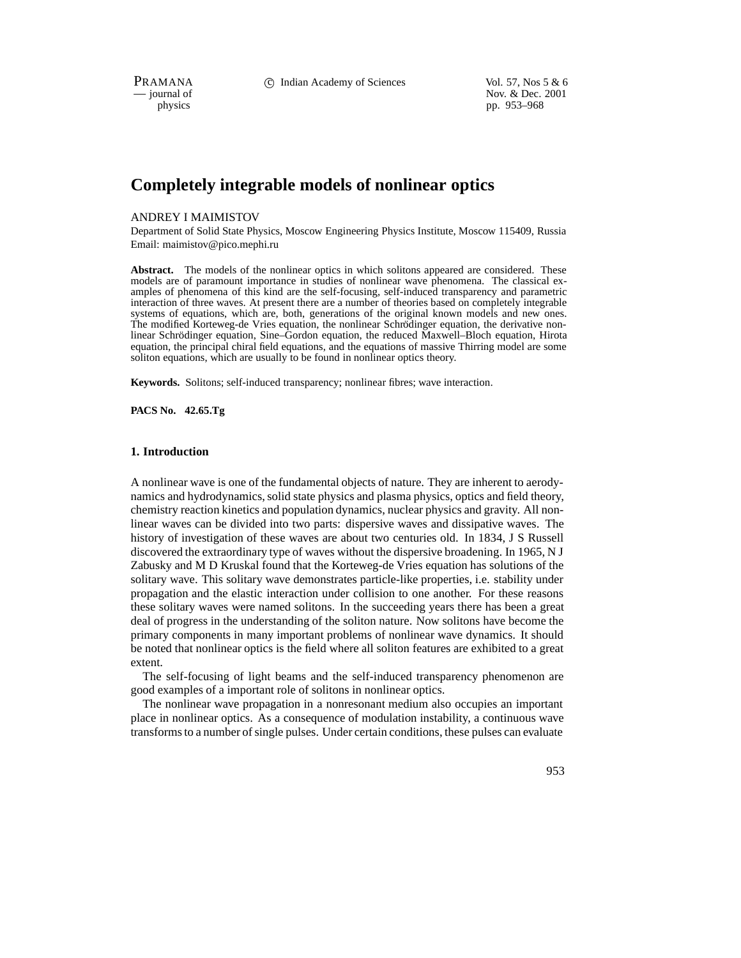PRAMANA 
c Indian Academy of Sciences Vol. 57, Nos 5 & 6<br>
iournal of Nov. & Dec. 2001 position of Nov. & Dec. 2001<br>
physics pp. 953–968 pp. 953–968

# **Completely integrable models of nonlinear optics**

## ANDREY I MAIMISTOV

Department of Solid State Physics, Moscow Engineering Physics Institute, Moscow 115409, Russia Email: maimistov@pico.mephi.ru

Abstract. The models of the nonlinear optics in which solitons appeared are considered. These models are of paramount importance in studies of nonlinear wave phenomena. The classical examples of phenomena of this kind are the self-focusing, self-induced transparency and parametric interaction of three waves. At present there are a number of theories based on completely integrable systems of equations, which are, both, generations of the original known models and new ones. The modified Korteweg-de Vries equation, the nonlinear Schrödinger equation, the derivative nonlinear Schrödinger equation, Sine–Gordon equation, the reduced Maxwell–Bloch equation, Hirota equation, the principal chiral field equations, and the equations of massive Thirring model are some soliton equations, which are usually to be found in nonlinear optics theory.

**Keywords.** Solitons; self-induced transparency; nonlinear fibres; wave interaction.

**PACS No. 42.65.Tg**

## **1. Introduction**

A nonlinear wave is one of the fundamental objects of nature. They are inherent to aerodynamics and hydrodynamics, solid state physics and plasma physics, optics and field theory, chemistry reaction kinetics and population dynamics, nuclear physics and gravity. All nonlinear waves can be divided into two parts: dispersive waves and dissipative waves. The history of investigation of these waves are about two centuries old. In 1834, J S Russell discovered the extraordinary type of waves without the dispersive broadening. In 1965, N J Zabusky and M D Kruskal found that the Korteweg-de Vries equation has solutions of the solitary wave. This solitary wave demonstrates particle-like properties, i.e. stability under propagation and the elastic interaction under collision to one another. For these reasons these solitary waves were named solitons. In the succeeding years there has been a great deal of progress in the understanding of the soliton nature. Now solitons have become the primary components in many important problems of nonlinear wave dynamics. It should be noted that nonlinear optics is the field where all soliton features are exhibited to a great extent.

The self-focusing of light beams and the self-induced transparency phenomenon are good examples of a important role of solitons in nonlinear optics.

The nonlinear wave propagation in a nonresonant medium also occupies an important place in nonlinear optics. As a consequence of modulation instability, a continuous wave transforms to a number of single pulses. Under certain conditions, these pulses can evaluate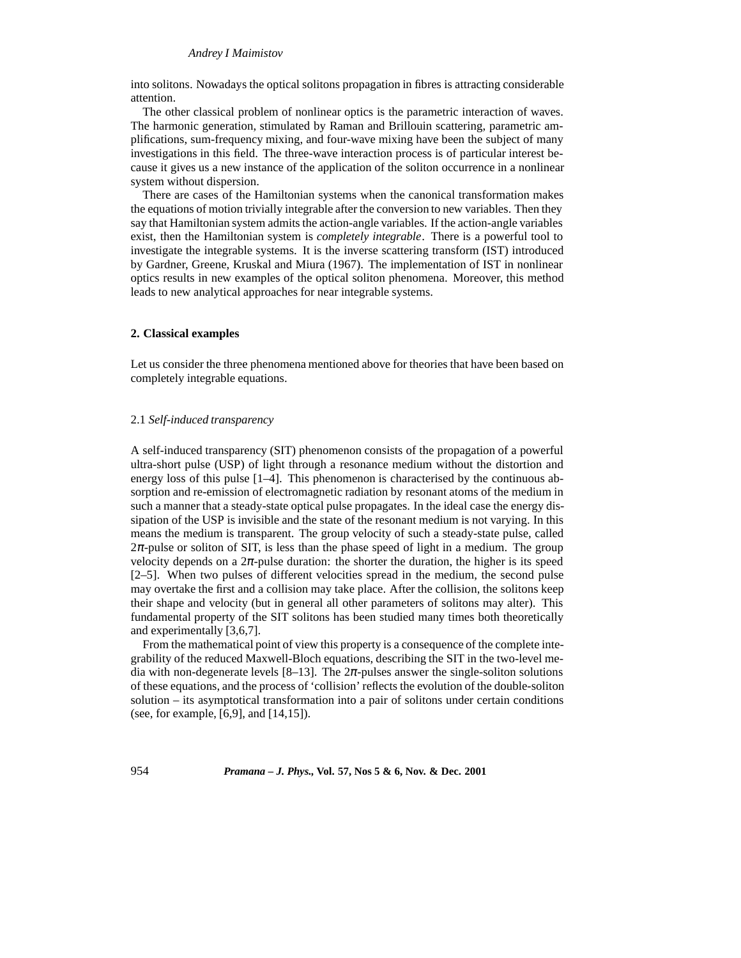into solitons. Nowadays the optical solitons propagation in fibres is attracting considerable attention.

The other classical problem of nonlinear optics is the parametric interaction of waves. The harmonic generation, stimulated by Raman and Brillouin scattering, parametric amplifications, sum-frequency mixing, and four-wave mixing have been the subject of many investigations in this field. The three-wave interaction process is of particular interest because it gives us a new instance of the application of the soliton occurrence in a nonlinear system without dispersion.

There are cases of the Hamiltonian systems when the canonical transformation makes the equations of motion trivially integrable after the conversion to new variables. Then they say that Hamiltonian system admits the action-angle variables. If the action-angle variables exist, then the Hamiltonian system is *completely integrable*. There is a powerful tool to investigate the integrable systems. It is the inverse scattering transform (IST) introduced by Gardner, Greene, Kruskal and Miura (1967). The implementation of IST in nonlinear optics results in new examples of the optical soliton phenomena. Moreover, this method leads to new analytical approaches for near integrable systems.

#### **2. Classical examples**

Let us consider the three phenomena mentioned above for theories that have been based on completely integrable equations.

#### 2.1 *Self-induced transparency*

A self-induced transparency (SIT) phenomenon consists of the propagation of a powerful ultra-short pulse (USP) of light through a resonance medium without the distortion and energy loss of this pulse [1–4]. This phenomenon is characterised by the continuous absorption and re-emission of electromagnetic radiation by resonant atoms of the medium in such a manner that a steady-state optical pulse propagates. In the ideal case the energy dissipation of the USP is invisible and the state of the resonant medium is not varying. In this means the medium is transparent. The group velocity of such a steady-state pulse, called  $2\pi$ -pulse or soliton of SIT, is less than the phase speed of light in a medium. The group velocity depends on a  $2\pi$ -pulse duration: the shorter the duration, the higher is its speed [2–5]. When two pulses of different velocities spread in the medium, the second pulse may overtake the first and a collision may take place. After the collision, the solitons keep their shape and velocity (but in general all other parameters of solitons may alter). This fundamental property of the SIT solitons has been studied many times both theoretically and experimentally [3,6,7].

From the mathematical point of view this property is a consequence of the complete integrability of the reduced Maxwell-Bloch equations, describing the SIT in the two-level media with non-degenerate levels  $[8-13]$ . The  $2\pi$ -pulses answer the single-soliton solutions of these equations, and the process of 'collision' reflects the evolution of the double-soliton solution – its asymptotical transformation into a pair of solitons under certain conditions (see, for example, [6,9], and [14,15]).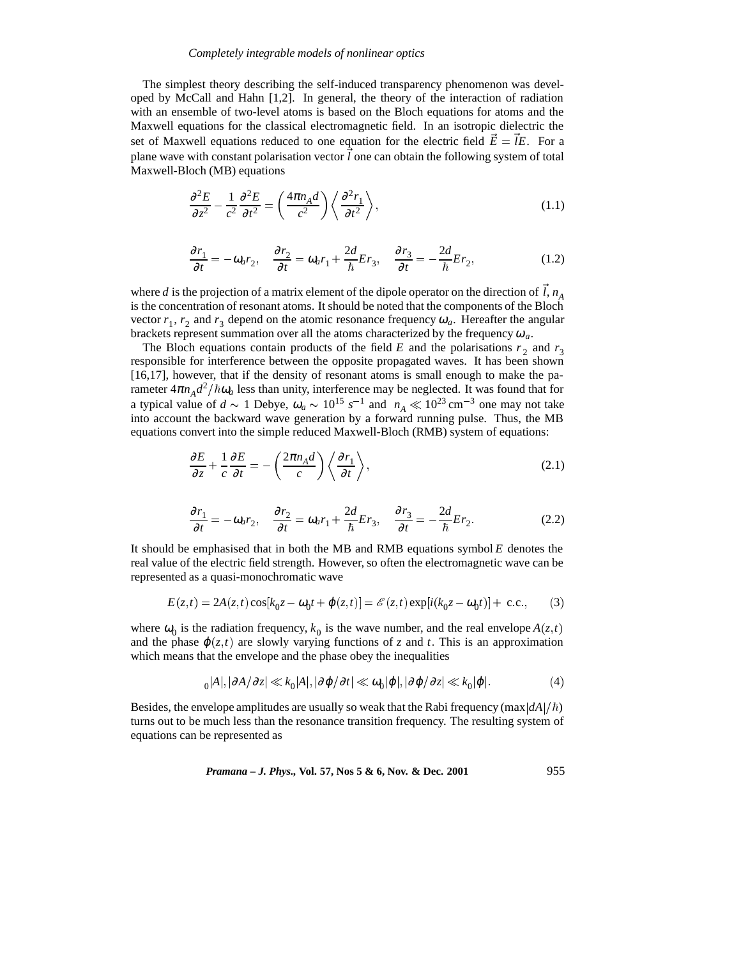The simplest theory describing the self-induced transparency phenomenon was developed by McCall and Hahn [1,2]. In general, the theory of the interaction of radiation with an ensemble of two-level atoms is based on the Bloch equations for atoms and the Maxwell equations for the classical electromagnetic field. In an isotropic dielectric the set of Maxwell equations reduced to one equation for the electric field  $\vec{E} = \vec{l}E$ . For a plane wave with constant polarisation vector  $\vec{l}$  one can obtain the following system of total Maxwell-Bloch (MB) equations

$$
\frac{\partial^2 E}{\partial z^2} - \frac{1}{c^2} \frac{\partial^2 E}{\partial t^2} = \left(\frac{4\pi n_A d}{c^2}\right) \left\langle \frac{\partial^2 r_1}{\partial t^2} \right\rangle,\tag{1.1}
$$

$$
\frac{\partial r_1}{\partial t} = -\omega_a r_2, \quad \frac{\partial r_2}{\partial t} = \omega_a r_1 + \frac{2d}{\hbar} E r_3, \quad \frac{\partial r_3}{\partial t} = -\frac{2d}{\hbar} E r_2,\tag{1.2}
$$

where *d* is the projection of a matrix element of the dipole operator on the direction of  $\hat{l}$ ,  $n_A$ is the concentration of resonant atoms. It should be noted that the components of the Bloch vector  $r_1$ ,  $r_2$  and  $r_3$  depend on the atomic resonance frequency  $\omega_a$ . Hereafter the angular brackets represent summation over all the atoms characterized by the frequency  $\omega_a$ .

The Bloch equations contain products of the field *E* and the polarisations  $r_2$  and  $r_3$ responsible for interference between the opposite propagated waves. It has been shown [16,17], however, that if the density of resonant atoms is small enough to make the parameter  $4\pi n_A d^2/\hbar \omega_a$  less than unity, interference may be neglected. It was found that for a typical value of  $d \sim 1$  Debye,  $\omega_a \sim 10^{15} \text{ s}^{-1}$  and  $n_A \ll 10^{23} \text{ cm}^{-3}$  one may not take into account the backward wave generation by a forward running pulse. Thus, the MB equations convert into the simple reduced Maxwell-Bloch (RMB) system of equations:

$$
\frac{\partial E}{\partial z} + \frac{1}{c} \frac{\partial E}{\partial t} = -\left(\frac{2\pi n_A d}{c}\right) \left\langle \frac{\partial r_1}{\partial t} \right\rangle,\tag{2.1}
$$

$$
\frac{\partial r_1}{\partial t} = -\omega_a r_2, \quad \frac{\partial r_2}{\partial t} = \omega_a r_1 + \frac{2d}{\hbar} E r_3, \quad \frac{\partial r_3}{\partial t} = -\frac{2d}{\hbar} E r_2. \tag{2.2}
$$

It should be emphasised that in both the MB and RMB equations symbol *E* denotes the real value of the electric field strength. However, so often the electromagnetic wave can be represented as a quasi-monochromatic wave

$$
E(z,t) = 2A(z,t)\cos[k_0 z - \omega_0 t + \varphi(z,t)] = \mathcal{E}(z,t)\exp[i(k_0 z - \omega_0 t)] + \text{c.c.},\qquad(3)
$$

where  $\omega_0$  is the radiation frequency,  $k_0$  is the wave number, and the real envelope  $A(z, t)$ and the phase  $\varphi(z,t)$  are slowly varying functions of *z* and *t*. This is an approximation which means that the envelope and the phase obey the inequalities

$$
_{0}|A|, |\partial A/\partial z| \ll k_{0}|A|, |\partial \varphi/\partial t| \ll \omega_{0}|\varphi|, |\partial \varphi/\partial z| \ll k_{0}|\varphi|.
$$
 (4)

Besides, the envelope amplitudes are usually so weak that the Rabi frequency (max $\frac{dA}{\hbar}$ ) turns out to be much less than the resonance transition frequency. The resulting system of equations can be represented as

*Pramana – J. Phys.,* **Vol. 57, Nos 5 & 6, Nov. & Dec. 2001** 955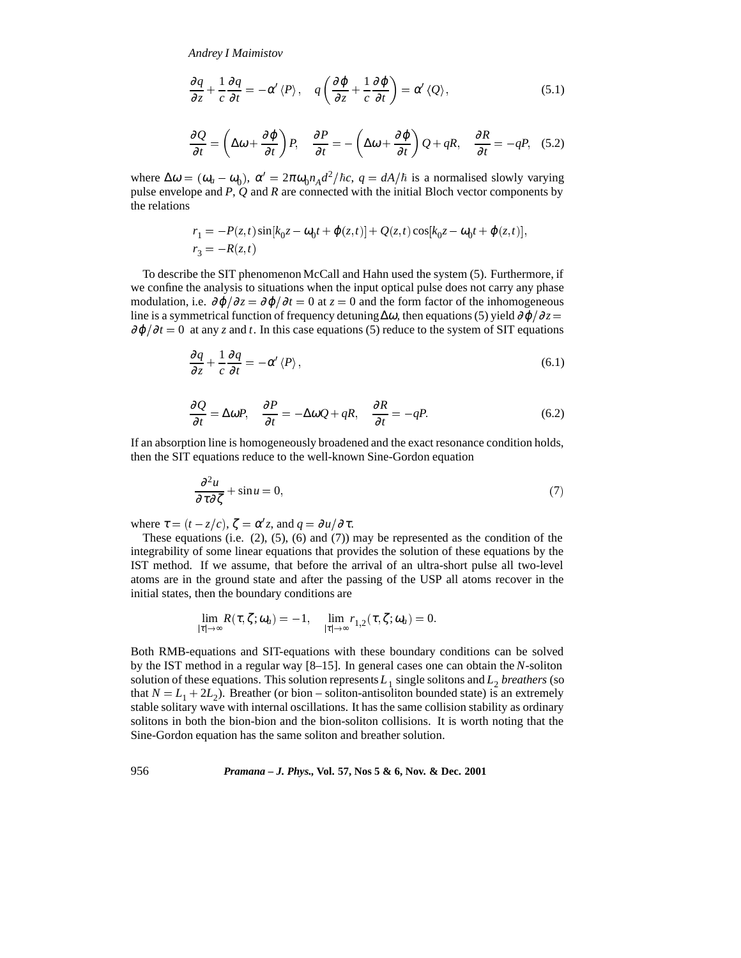$$
\frac{\partial q}{\partial z} + \frac{1}{c} \frac{\partial q}{\partial t} = -\alpha' \langle P \rangle, \quad q \left( \frac{\partial \varphi}{\partial z} + \frac{1}{c} \frac{\partial \varphi}{\partial t} \right) = \alpha' \langle Q \rangle, \tag{5.1}
$$

$$
\frac{\partial Q}{\partial t} = \left(\Delta\omega + \frac{\partial \varphi}{\partial t}\right)P, \quad \frac{\partial P}{\partial t} = -\left(\Delta\omega + \frac{\partial \varphi}{\partial t}\right)Q + qR, \quad \frac{\partial R}{\partial t} = -qP, \quad (5.2)
$$

where  $\Delta \omega = (\omega_a - \omega_0)$ ,  $\alpha' = 2\pi \omega_0 n_A d^2/\hbar c$ ,  $q = dA/\hbar$  is a normalised slowly varying pulse envelope and *P*, *Q* and *R* are connected with the initial Bloch vector components by the relations

$$
r_1 = -P(z, t) \sin[k_0 z - \omega_0 t + \varphi(z, t)] + Q(z, t) \cos[k_0 z - \omega_0 t + \varphi(z, t)],
$$
  

$$
r_3 = -R(z, t)
$$

To describe the SIT phenomenon McCall and Hahn used the system (5). Furthermore, if we confine the analysis to situations when the input optical pulse does not carry any phase modulation, i.e.  $\partial \varphi / \partial z = \partial \varphi / \partial t = 0$  at  $z = 0$  and the form factor of the inhomogeneous line is a symmetrical function of frequency detuning  $\Delta\omega$ , then equations (5) yield  $\partial\varphi/\partial z =$  $\partial \varphi / \partial t = 0$  at any *z* and *t*. In this case equations (5) reduce to the system of SIT equations

$$
\frac{\partial q}{\partial z} + \frac{1}{c} \frac{\partial q}{\partial t} = -\alpha' \langle P \rangle, \tag{6.1}
$$

$$
\frac{\partial Q}{\partial t} = \Delta \omega P, \quad \frac{\partial P}{\partial t} = -\Delta \omega Q + qR, \quad \frac{\partial R}{\partial t} = -qP. \tag{6.2}
$$

If an absorption line is homogeneously broadened and the exact resonance condition holds, then the SIT equations reduce to the well-known Sine-Gordon equation

$$
\frac{\partial^2 u}{\partial \tau \partial \zeta} + \sin u = 0,\tag{7}
$$

where  $\tau = (t - z/c)$ ,  $\zeta = \alpha' z$ , and  $q = \partial u/\partial \tau$ .

These equations (i.e.  $(2)$ ,  $(5)$ ,  $(6)$  and  $(7)$ ) may be represented as the condition of the integrability of some linear equations that provides the solution of these equations by the IST method. If we assume, that before the arrival of an ultra-short pulse all two-level atoms are in the ground state and after the passing of the USP all atoms recover in the initial states, then the boundary conditions are

$$
\lim_{|\tau|\to\infty} R(\tau,\zeta;\omega_a)=-1,\quad \lim_{|\tau|\to\infty} r_{1,2}(\tau,\zeta;\omega_a)=0.
$$

Both RMB-equations and SIT-equations with these boundary conditions can be solved by the IST method in a regular way [8–15]. In general cases one can obtain the *N*-soliton solution of these equations. This solution represents  $L_1$  single solitons and  $L_2$  *breathers* (so that  $N = L_1 + 2L_2$ ). Breather (or bion – soliton-antisoliton bounded state) is an extremely stable solitary wave with internal oscillations. It has the same collision stability as ordinary solitons in both the bion-bion and the bion-soliton collisions. It is worth noting that the Sine-Gordon equation has the same soliton and breather solution.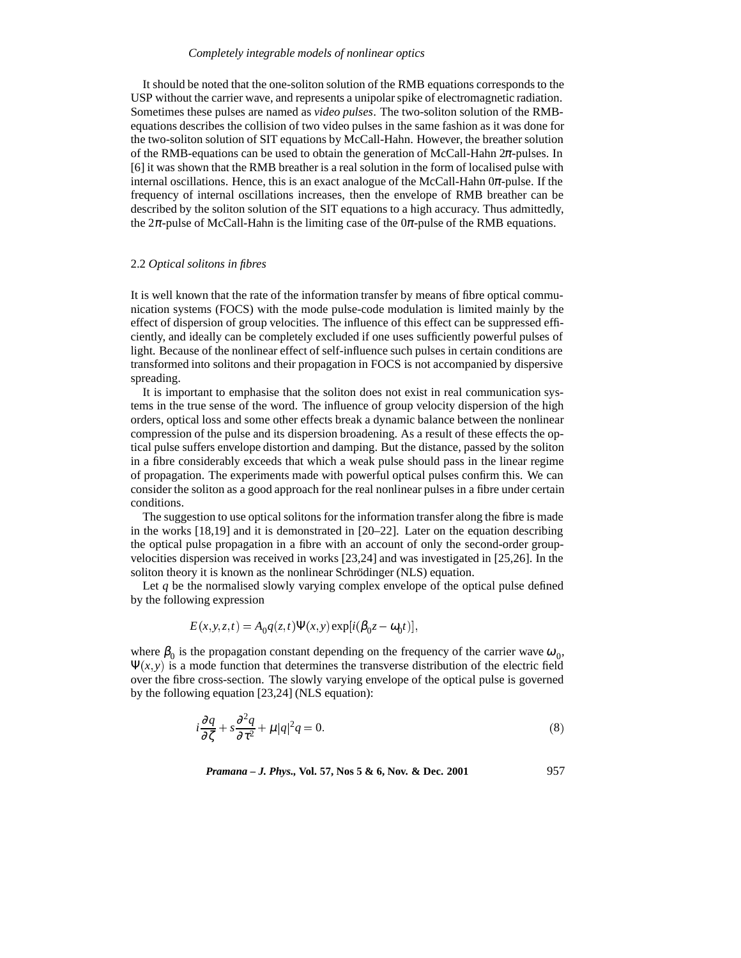It should be noted that the one-soliton solution of the RMB equations corresponds to the USP without the carrier wave, and represents a unipolar spike of electromagnetic radiation. Sometimes these pulses are named as *video pulses*. The two-soliton solution of the RMBequations describes the collision of two video pulses in the same fashion as it was done for the two-soliton solution of SIT equations by McCall-Hahn. However, the breather solution of the RMB-equations can be used to obtain the generation of McCall-Hahn  $2\pi$ -pulses. In [6] it was shown that the RMB breather is a real solution in the form of localised pulse with internal oscillations. Hence, this is an exact analogue of the McCall-Hahn  $0\pi$ -pulse. If the frequency of internal oscillations increases, then the envelope of RMB breather can be described by the soliton solution of the SIT equations to a high accuracy. Thus admittedly, the  $2\pi$ -pulse of McCall-Hahn is the limiting case of the  $0\pi$ -pulse of the RMB equations.

## 2.2 *Optical solitons in fibres*

It is well known that the rate of the information transfer by means of fibre optical communication systems (FOCS) with the mode pulse-code modulation is limited mainly by the effect of dispersion of group velocities. The influence of this effect can be suppressed efficiently, and ideally can be completely excluded if one uses sufficiently powerful pulses of light. Because of the nonlinear effect of self-influence such pulses in certain conditions are transformed into solitons and their propagation in FOCS is not accompanied by dispersive spreading.

It is important to emphasise that the soliton does not exist in real communication systems in the true sense of the word. The influence of group velocity dispersion of the high orders, optical loss and some other effects break a dynamic balance between the nonlinear compression of the pulse and its dispersion broadening. As a result of these effects the optical pulse suffers envelope distortion and damping. But the distance, passed by the soliton in a fibre considerably exceeds that which a weak pulse should pass in the linear regime of propagation. The experiments made with powerful optical pulses confirm this. We can consider the soliton as a good approach for the real nonlinear pulses in a fibre under certain conditions.

The suggestion to use optical solitons for the information transfer along the fibre is made in the works  $[18,19]$  and it is demonstrated in  $[20-22]$ . Later on the equation describing the optical pulse propagation in a fibre with an account of only the second-order groupvelocities dispersion was received in works [23,24] and was investigated in [25,26]. In the soliton theory it is known as the nonlinear Schrödinger (NLS) equation.

Let *q* be the normalised slowly varying complex envelope of the optical pulse defined by the following expression

$$
E(x, y, z, t) = A_0 q(z, t) \Psi(x, y) \exp[i(\beta_0 z - \omega_0 t)],
$$

where  $\beta_0$  is the propagation constant depending on the frequency of the carrier wave  $\omega_0$ ,  $\Psi(x, y)$  is a mode function that determines the transverse distribution of the electric field over the fibre cross-section. The slowly varying envelope of the optical pulse is governed by the following equation [23,24] (NLS equation):

$$
i\frac{\partial q}{\partial \zeta} + s\frac{\partial^2 q}{\partial \tau^2} + \mu|q|^2 q = 0.
$$
 (8)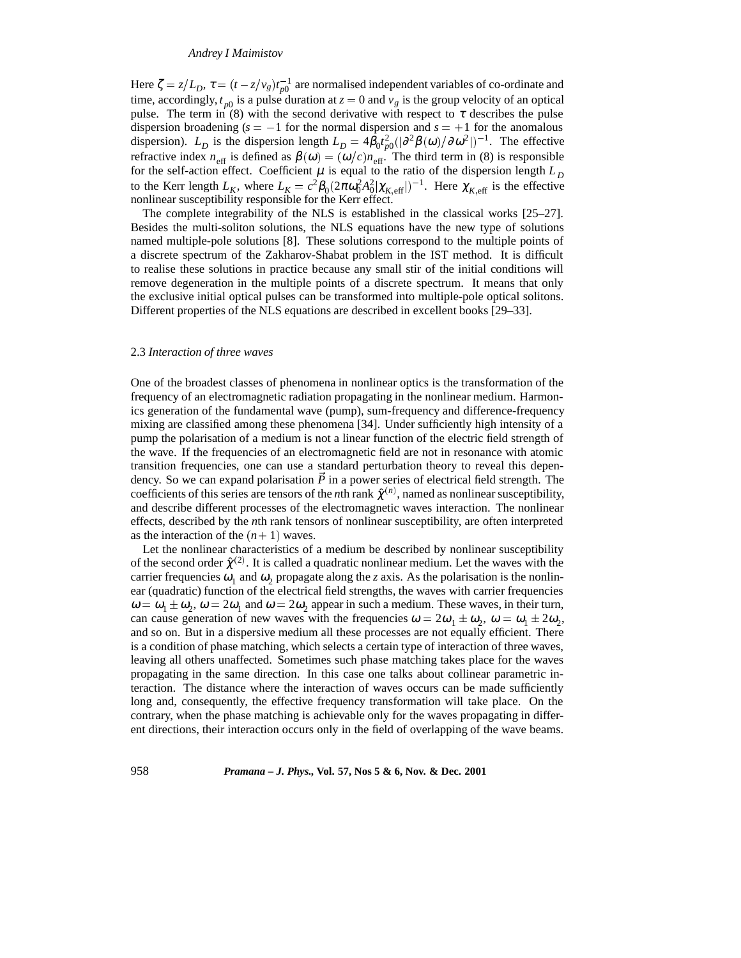Here  $\zeta = z/L_D$ ,  $\tau = (t - z/v_g)t_{p0}^{-1}$  are normalised independent variables of co-ordinate and time, accordingly,  $t_{p0}$  is a pulse duration at  $z = 0$  and  $v_g$  is the group velocity of an optical pulse. The term in (8) with the second derivative with respect to  $\tau$  describes the pulse dispersion broadening  $(s = -1$  for the normal dispersion and  $s = +1$  for the anomalous dispersion).  $L_D$  is the dispersion length  $L_D = 4\beta_0 t_{p0}^2 (|\partial^2 \beta(\omega)/\partial \omega^2|)^{-1}$ . The effective refractive index  $n_{\text{eff}}$  is defined as  $\beta(\omega)=(\omega/c)n_{\text{eff}}$ . The third term in (8) is responsible for the self-action effect. Coefficient  $\mu$  is equal to the ratio of the dispersion length  $L<sub>D</sub>$ to the Kerr length  $L_K$ , where  $L_K = c^2 \beta_0 (2\pi \omega_0^2 A_0^2 |\chi_{K,\text{eff}}|)^{-1}$ . Here  $\chi_{K,\text{eff}}$  is the effective nonlinear susceptibility responsible for the Kerr effect.

The complete integrability of the NLS is established in the classical works [25–27]. Besides the multi-soliton solutions, the NLS equations have the new type of solutions named multiple-pole solutions [8]. These solutions correspond to the multiple points of a discrete spectrum of the Zakharov-Shabat problem in the IST method. It is difficult to realise these solutions in practice because any small stir of the initial conditions will remove degeneration in the multiple points of a discrete spectrum. It means that only the exclusive initial optical pulses can be transformed into multiple-pole optical solitons. Different properties of the NLS equations are described in excellent books [29–33].

## 2.3 *Interaction of three waves*

One of the broadest classes of phenomena in nonlinear optics is the transformation of the frequency of an electromagnetic radiation propagating in the nonlinear medium. Harmonics generation of the fundamental wave (pump), sum-frequency and difference-frequency mixing are classified among these phenomena [34]. Under sufficiently high intensity of a pump the polarisation of a medium is not a linear function of the electric field strength of the wave. If the frequencies of an electromagnetic field are not in resonance with atomic transition frequencies, one can use a standard perturbation theory to reveal this dependency. So we can expand polarisation  $\vec{P}$  in a power series of electrical field strength. The coefficients of this series are tensors of the *n*th rank  $\hat{\chi}^{(n)}$ , named as nonlinear susceptibility, and describe different processes of the electromagnetic waves interaction. The nonlinear effects, described by the *n*th rank tensors of nonlinear susceptibility, are often interpreted as the interaction of the  $(n+1)$  waves.

Let the nonlinear characteristics of a medium be described by nonlinear susceptibility of the second order  $\hat{\chi}^{(2)}$ . It is called a quadratic nonlinear medium. Let the waves with the carrier frequencies  $\omega_1$  and  $\omega_2$  propagate along the *z* axis. As the polarisation is the nonlinear (quadratic) function of the electrical field strengths, the waves with carrier frequencies  $\omega = \omega_1 \pm \omega_2$ ,  $\omega = 2\omega_1$  and  $\omega = 2\omega_2$  appear in such a medium. These waves, in their turn, can cause generation of new waves with the frequencies  $\omega = 2\omega_1 \pm \omega_2$ ,  $\omega = \omega_1 \pm 2\omega_2$ , and so on. But in a dispersive medium all these processes are not equally efficient. There is a condition of phase matching, which selects a certain type of interaction of three waves, leaving all others unaffected. Sometimes such phase matching takes place for the waves propagating in the same direction. In this case one talks about collinear parametric interaction. The distance where the interaction of waves occurs can be made sufficiently long and, consequently, the effective frequency transformation will take place. On the contrary, when the phase matching is achievable only for the waves propagating in different directions, their interaction occurs only in the field of overlapping of the wave beams.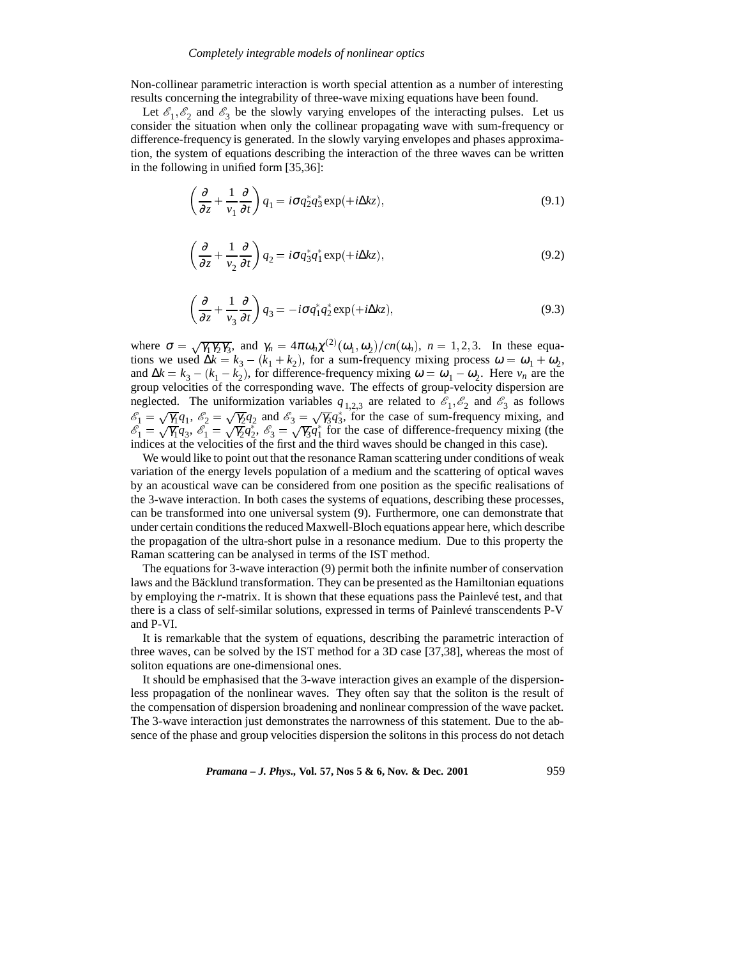Non-collinear parametric interaction is worth special attention as a number of interesting results concerning the integrability of three-wave mixing equations have been found.

Let  $\mathcal{E}_1, \mathcal{E}_2$  and  $\mathcal{E}_3$  be the slowly varying envelopes of the interacting pulses. Let us consider the situation when only the collinear propagating wave with sum-frequency or difference-frequency is generated. In the slowly varying envelopes and phases approximation, the system of equations describing the interaction of the three waves can be written in the following in unified form [35,36]:

$$
\left(\frac{\partial}{\partial z} + \frac{1}{v_1} \frac{\partial}{\partial t}\right) q_1 = i\sigma q_2^* q_3^* \exp(+i\Delta k z),\tag{9.1}
$$

$$
\left(\frac{\partial}{\partial z} + \frac{1}{v_2} \frac{\partial}{\partial t}\right) q_2 = i\sigma q_3^* q_1^* \exp(+i\Delta k z),\tag{9.2}
$$

$$
\left(\frac{\partial}{\partial z} + \frac{1}{v_3} \frac{\partial}{\partial t}\right) q_3 = -i\sigma q_1^* q_2^* \exp(+i\Delta k z),\tag{9.3}
$$

where  $\sigma = \sqrt{\gamma_1 \gamma_2 \gamma_3}$ , and  $\gamma_n = 4\pi \omega_n \chi^{(2)}(\omega_1, \omega_2)/cn(\omega_n)$ ,  $n = 1, 2, 3$ . In these equations we used  $\Delta k = k_3 - (k_1 + k_2)$ , for a sum-frequency mixing process  $\omega = \omega_1 + \omega_2$ , and  $\Delta k = k_3 - (k_1 - k_2)$ , for difference-frequency mixing  $\omega = \omega_1 - \omega_2$ . Here  $v_n$  are the group velocities of the corresponding wave. The effects of group-velocity dispersion are neglected. The uniformization variables  $q_{1,2,3}$  are related to  $\mathcal{E}_1, \mathcal{E}_2$  and  $\mathcal{E}_3$  as follows  $\mathcal{E}_1 = \sqrt{\gamma_1}q_1$ ,  $\mathcal{E}_2 = \sqrt{\gamma_2}q_2$  and  $\mathcal{E}_3 = \sqrt{\gamma_3}q_3^*$ , for the case of sum-frequency mixing, and  $\mathcal{E}_1 = \sqrt{\gamma_1}q_3$ ,  $\mathcal{E}_1 = \sqrt{\gamma_2}q_2^*$ ,  $\mathcal{E}_3 = \sqrt{\gamma_3}q_1^*$  for the case of difference-frequency mi indices at the velocities of the first and the third waves should be changed in this case).

We would like to point out that the resonance Raman scattering under conditions of weak variation of the energy levels population of a medium and the scattering of optical waves by an acoustical wave can be considered from one position as the specific realisations of the 3-wave interaction. In both cases the systems of equations, describing these processes, can be transformed into one universal system (9). Furthermore, one can demonstrate that under certain conditions the reduced Maxwell-Bloch equations appear here, which describe the propagation of the ultra-short pulse in a resonance medium. Due to this property the Raman scattering can be analysed in terms of the IST method.

The equations for 3-wave interaction (9) permit both the infinite number of conservation laws and the Bäcklund transformation. They can be presented as the Hamiltonian equations by employing the *r*-matrix. It is shown that these equations pass the Painlevé test, and that there is a class of self-similar solutions, expressed in terms of Painlevé transcendents P-V and P-VI.

It is remarkable that the system of equations, describing the parametric interaction of three waves, can be solved by the IST method for a 3D case [37,38], whereas the most of soliton equations are one-dimensional ones.

It should be emphasised that the 3-wave interaction gives an example of the dispersionless propagation of the nonlinear waves. They often say that the soliton is the result of the compensation of dispersion broadening and nonlinear compression of the wave packet. The 3-wave interaction just demonstrates the narrowness of this statement. Due to the absence of the phase and group velocities dispersion the solitons in this process do not detach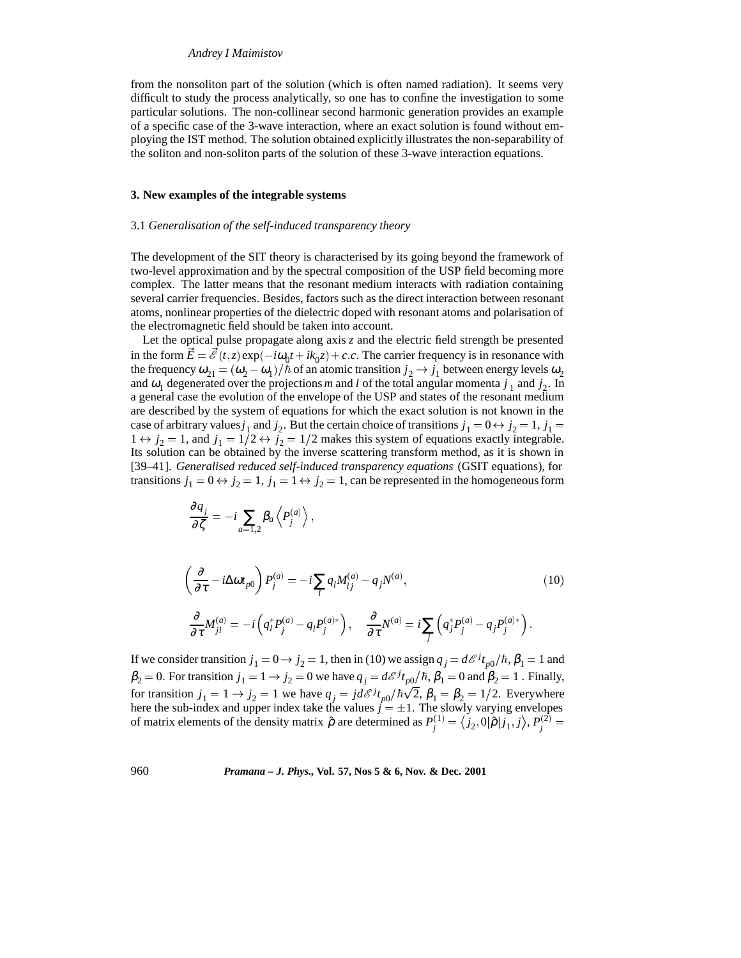from the nonsoliton part of the solution (which is often named radiation). It seems very difficult to study the process analytically, so one has to confine the investigation to some particular solutions. The non-collinear second harmonic generation provides an example of a specific case of the 3-wave interaction, where an exact solution is found without employing the IST method. The solution obtained explicitly illustrates the non-separability of the soliton and non-soliton parts of the solution of these 3-wave interaction equations.

## **3. New examples of the integrable systems**

#### 3.1 *Generalisation of the self-induced transparency theory*

The development of the SIT theory is characterised by its going beyond the framework of two-level approximation and by the spectral composition of the USP field becoming more complex. The latter means that the resonant medium interacts with radiation containing several carrier frequencies. Besides, factors such as the direct interaction between resonant atoms, nonlinear properties of the dielectric doped with resonant atoms and polarisation of the electromagnetic field should be taken into account.

Let the optical pulse propagate along axis *z* and the electric field strength be presented in the form  $\vec{E} = \vec{\mathcal{E}}(t, z) \exp(-i\omega_0 t + ik_0 z) + c.c$ . The carrier frequency is in resonance with the frequency  $\omega_{21} = (\omega_2 - \omega_1)/\hbar$  of an atomic transition  $j_2 \to j_1$  between energy levels  $\omega_2$ and  $\omega_1$  degenerated over the projections *m* and *l* of the total angular momenta  $j_1$  and  $j_2$ . In a general case the evolution of the envelope of the USP and states of the resonant medium are described by the system of equations for which the exact solution is not known in the case of arbitrary values  $j_1$  and  $j_2$ . But the certain choice of transitions  $j_1 = 0 \leftrightarrow j_2 = 1$ ,  $j_1 =$  $1 \leftrightarrow j_2 = 1$ , and  $j_1 = 1/2 \leftrightarrow j_2 = 1/2$  makes this system of equations exactly integrable. Its solution can be obtained by the inverse scattering transform method, as it is shown in [39–41]. *Generalised reduced self-induced transparency equations* (GSIT equations), for transitions  $j_1 = 0 \leftrightarrow j_2 = 1$ ,  $j_1 = 1 \leftrightarrow j_2 = 1$ , can be represented in the homogeneous form

$$
\frac{\partial q_j}{\partial \zeta} = -i \sum_{a=1,2} \beta_a \left\langle P_j^{(a)} \right\rangle,
$$

$$
\left(\frac{\partial}{\partial \tau} - i\Delta \omega t_{p0}\right) P_j^{(a)} = -i \sum_l q_l M_{lj}^{(a)} - q_j N^{(a)},\tag{10}
$$
\n
$$
\frac{\partial}{\partial \tau} M_{jl}^{(a)} = -i \left(q_l^* P_j^{(a)} - q_l P_j^{(a)*}\right), \quad \frac{\partial}{\partial \tau} N^{(a)} = i \sum_j \left(q_j^* P_j^{(a)} - q_j P_j^{(a)*}\right).
$$

If we consider transition  $j_1 = 0 \rightarrow j_2 = 1$ , then in (10) we assign  $q_j = d\mathcal{E}^{j} t_{p0}/\hbar$ ,  $\beta_1 = 1$  and  $\beta_2 = 0$ . For transition  $j_1 = 1 \rightarrow j_2 = 0$  we have  $q_j = d\mathcal{E}^j t_{p0}/\hbar$ ,  $\beta_1 = 0$  and  $\beta_2 = 1$ . Finally, for transition  $j_1 = 1 \rightarrow j_2 = 1$  we have  $q_j = j d\mathcal{E}^j t_{p0}/\hbar \sqrt{2}$ ,  $\beta_1 = \beta_2 = 1/2$ . Everywhere here the sub-index and upper index take the values  $j = \pm 1$ . The slowly varying envelopes of matrix elements of the density matrix  $\hat{\rho}$  are determined as  $P_j^{(1)} = \langle j_2, 0 | \hat{\rho} | j_1, j \rangle$ ,  $P_j^{(2)} =$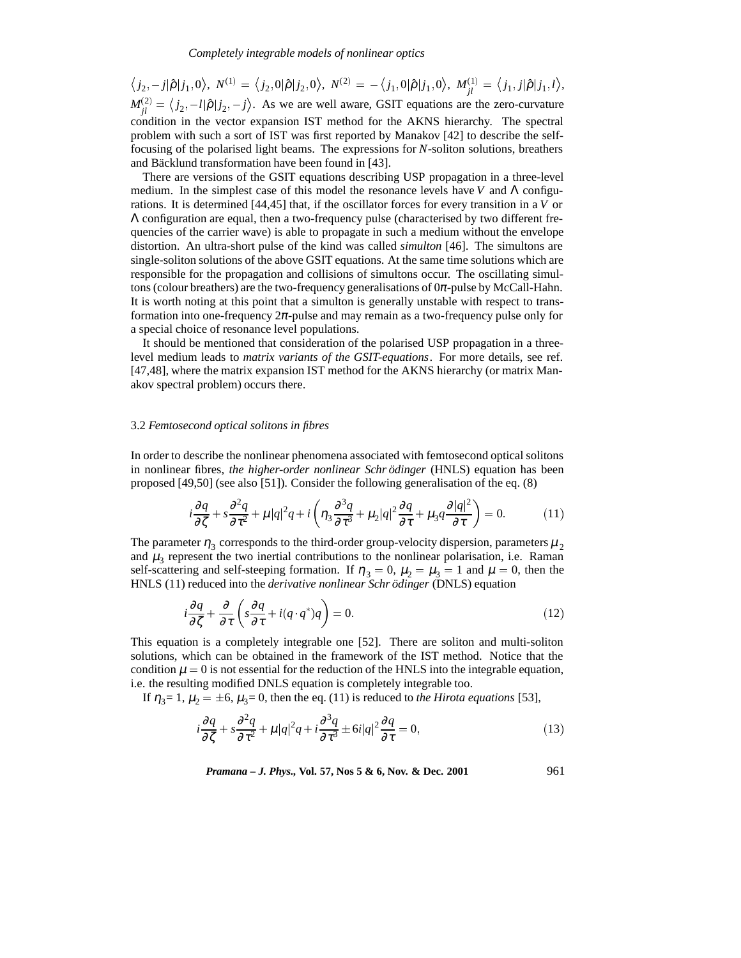$\big\langle j_2,-j|\hat{\rho}|j_1,0\big\rangle,\;N^{(1)} = \big\langle j_2,0|\hat{\rho}|j_2,0\big\rangle,\;N^{(2)} = -\big\langle j_1,0|\hat{\rho}|j_1,0\big\rangle,\;M^{(1)}_{jl} = \big\langle j_1,j|\hat{\rho}|j_1,l\big\rangle,$  $M_{jl}^{(2)} = \langle j_2, -l | \hat{\rho} | j_2, -j \rangle$ . As we are well aware, GSIT equations are the zero-curvature condition in the vector expansion IST method for the AKNS hierarchy. The spectral problem with such a sort of IST was first reported by Manakov [42] to describe the selffocusing of the polarised light beams. The expressions for *N*-soliton solutions, breathers and Bäcklund transformation have been found in [43].

There are versions of the GSIT equations describing USP propagation in a three-level medium. In the simplest case of this model the resonance levels have *V* and Λ configurations. It is determined [44,45] that, if the oscillator forces for every transition in a *V* or Λ configuration are equal, then a two-frequency pulse (characterised by two different frequencies of the carrier wave) is able to propagate in such a medium without the envelope distortion. An ultra-short pulse of the kind was called *simulton* [46]. The simultons are single-soliton solutions of the above GSIT equations. At the same time solutions which are responsible for the propagation and collisions of simultons occur. The oscillating simultons (colour breathers) are the two-frequency generalisations of  $0\pi$ -pulse by McCall-Hahn. It is worth noting at this point that a simulton is generally unstable with respect to transformation into one-frequency  $2\pi$ -pulse and may remain as a two-frequency pulse only for a special choice of resonance level populations.

It should be mentioned that consideration of the polarised USP propagation in a threelevel medium leads to *matrix variants of the GSIT-equations*. For more details, see ref. [47,48], where the matrix expansion IST method for the AKNS hierarchy (or matrix Manakov spectral problem) occurs there.

## 3.2 *Femtosecond optical solitons in fibres*

In order to describe the nonlinear phenomena associated with femtosecond optical solitons in nonlinear fibres, *the higher-order nonlinear Schr*  $ödinger$  (HNLS) equation has been proposed [49,50] (see also [51]). Consider the following generalisation of the eq. (8)

$$
i\frac{\partial q}{\partial \zeta} + s\frac{\partial^2 q}{\partial \tau^2} + \mu|q|^2 q + i\left(\eta_3 \frac{\partial^3 q}{\partial \tau^3} + \mu_2|q|^2 \frac{\partial q}{\partial \tau} + \mu_3 q \frac{\partial |q|^2}{\partial \tau}\right) = 0.
$$
 (11)

The parameter  $\eta_3$  corresponds to the third-order group-velocity dispersion, parameters  $\mu_2$ and  $\mu_3$  represent the two inertial contributions to the nonlinear polarisation, i.e. Raman self-scattering and self-steeping formation. If  $\eta_3 = 0$ ,  $\mu_2 = \mu_3 = 1$  and  $\mu = 0$ , then the HNLS (11) reduced into the *derivative nonlinear Schrödinger* (DNLS) equation

$$
i\frac{\partial q}{\partial \zeta} + \frac{\partial}{\partial \tau} \left( s \frac{\partial q}{\partial \tau} + i(q \cdot q^*) q \right) = 0. \tag{12}
$$

This equation is a completely integrable one [52]. There are soliton and multi-soliton solutions, which can be obtained in the framework of the IST method. Notice that the condition  $\mu = 0$  is not essential for the reduction of the HNLS into the integrable equation, i.e. the resulting modified DNLS equation is completely integrable too.

If  $\eta_3 = 1$ ,  $\mu_2 = \pm 6$ ,  $\mu_3 = 0$ , then the eq. (11) is reduced to *the Hirota equations* [53],

$$
i\frac{\partial q}{\partial \zeta} + s\frac{\partial^2 q}{\partial \tau^2} + \mu|q|^2 q + i\frac{\partial^3 q}{\partial \tau^3} \pm 6i|q|^2 \frac{\partial q}{\partial \tau} = 0,
$$
\n(13)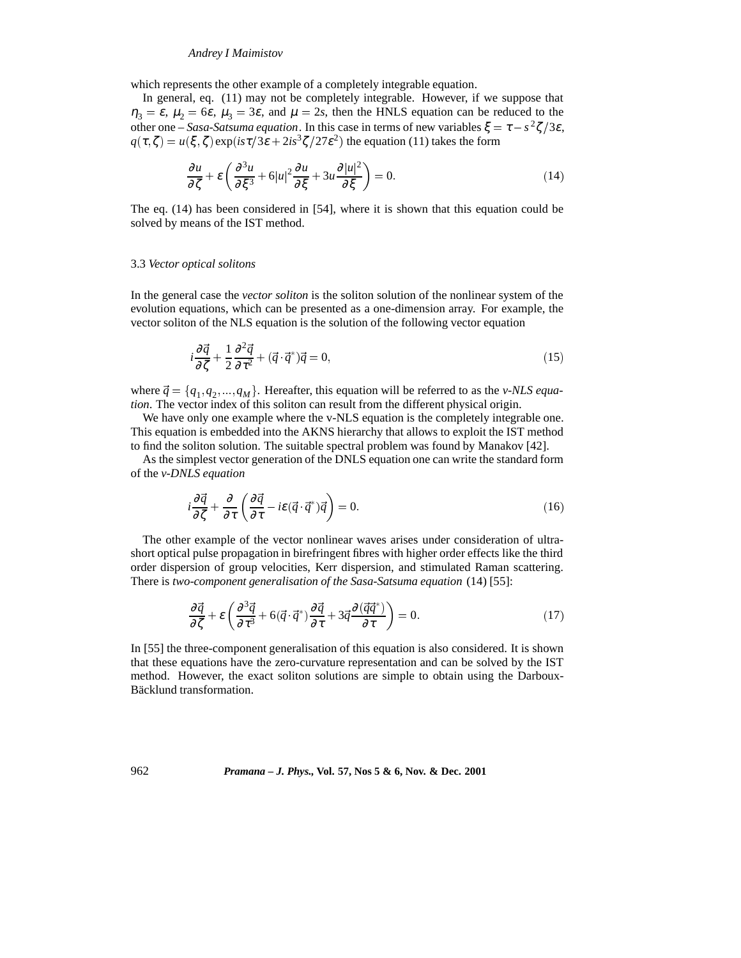which represents the other example of a completely integrable equation.

In general, eq. (11) may not be completely integrable. However, if we suppose that  $\eta_3 = \varepsilon$ ,  $\mu_2 = 6\varepsilon$ ,  $\mu_3 = 3\varepsilon$ , and  $\mu = 2s$ , then the HNLS equation can be reduced to the other one – *Sasa-Satsuma equation*. In this case in terms of new variables  $\xi = \tau - s^2 \zeta/3\varepsilon$ ,  $q(\tau, \zeta) = u(\xi, \zeta) \exp(is\tau/3\varepsilon + 2is^3\zeta/27\varepsilon^2)$  the equation (11) takes the form

$$
\frac{\partial u}{\partial \zeta} + \varepsilon \left( \frac{\partial^3 u}{\partial \xi^3} + 6|u|^2 \frac{\partial u}{\partial \xi} + 3u \frac{\partial |u|^2}{\partial \xi} \right) = 0. \tag{14}
$$

The eq. (14) has been considered in [54], where it is shown that this equation could be solved by means of the IST method.

#### 3.3 *Vector optical solitons*

In the general case the *vector soliton* is the soliton solution of the nonlinear system of the evolution equations, which can be presented as a one-dimension array. For example, the vector soliton of the NLS equation is the solution of the following vector equation

$$
i\frac{\partial \vec{q}}{\partial \zeta} + \frac{1}{2} \frac{\partial^2 \vec{q}}{\partial \tau^2} + (\vec{q} \cdot \vec{q}^*)\vec{q} = 0,
$$
\n(15)

where  $\vec{q} = \{q_1, q_2, ..., q_M\}$ . Hereafter, this equation will be referred to as the *v-NLS equation*. The vector index of this soliton can result from the different physical origin.

We have only one example where the v-NLS equation is the completely integrable one. This equation is embedded into the AKNS hierarchy that allows to exploit the IST method to find the soliton solution. The suitable spectral problem was found by Manakov [42].

As the simplest vector generation of the DNLS equation one can write the standard form of the *v-DNLS equation*

$$
i\frac{\partial \vec{q}}{\partial \zeta} + \frac{\partial}{\partial \tau} \left( \frac{\partial \vec{q}}{\partial \tau} - i\varepsilon (\vec{q} \cdot \vec{q}^*) \vec{q} \right) = 0. \tag{16}
$$

The other example of the vector nonlinear waves arises under consideration of ultrashort optical pulse propagation in birefringent fibres with higher order effects like the third order dispersion of group velocities, Kerr dispersion, and stimulated Raman scattering. There is *two-component generalisation of the Sasa-Satsuma equation* (14) [55]:

$$
\frac{\partial \vec{q}}{\partial \zeta} + \varepsilon \left( \frac{\partial^3 \vec{q}}{\partial \tau^3} + 6(\vec{q} \cdot \vec{q}^*) \frac{\partial \vec{q}}{\partial \tau} + 3\vec{q} \frac{\partial (\vec{q}\vec{q}^*)}{\partial \tau} \right) = 0. \tag{17}
$$

In [55] the three-component generalisation of this equation is also considered. It is shown that these equations have the zero-curvature representation and can be solved by the IST method. However, the exact soliton solutions are simple to obtain using the Darboux-Bäcklund transformation.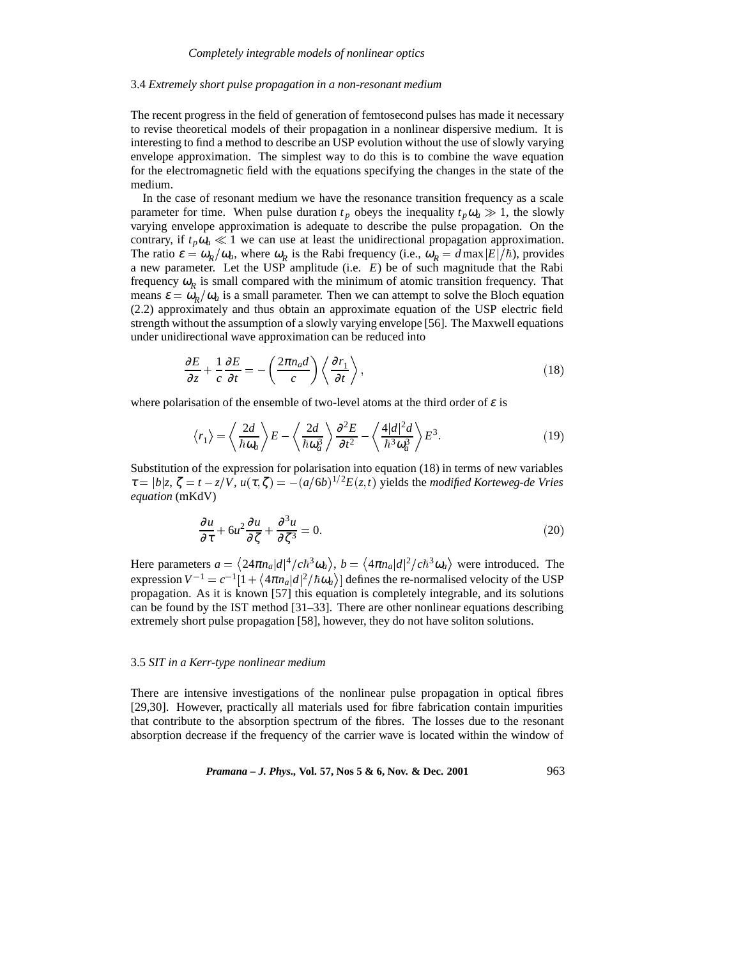#### 3.4 *Extremely short pulse propagation in a non-resonant medium*

The recent progress in the field of generation of femtosecond pulses has made it necessary to revise theoretical models of their propagation in a nonlinear dispersive medium. It is interesting to find a method to describe an USP evolution without the use of slowly varying envelope approximation. The simplest way to do this is to combine the wave equation for the electromagnetic field with the equations specifying the changes in the state of the medium.

In the case of resonant medium we have the resonance transition frequency as a scale parameter for time. When pulse duration  $t_p$  obeys the inequality  $t_p \omega_a \gg 1$ , the slowly varying envelope approximation is adequate to describe the pulse propagation. On the contrary, if  $t_p \omega_a \ll 1$  we can use at least the unidirectional propagation approximation. The ratio  $\varepsilon = \omega_R/\omega_a$ , where  $\omega_R$  is the Rabi frequency (i.e.,  $\omega_R = d \max |E|/\hbar$ ), provides a new parameter. Let the USP amplitude (i.e. *E*) be of such magnitude that the Rabi frequency  $\omega_R$  is small compared with the minimum of atomic transition frequency. That means  $\varepsilon = \omega_p/\omega_a$  is a small parameter. Then we can attempt to solve the Bloch equation (2.2) approximately and thus obtain an approximate equation of the USP electric field strength without the assumption of a slowly varying envelope [56]. The Maxwell equations under unidirectional wave approximation can be reduced into

$$
\frac{\partial E}{\partial z} + \frac{1}{c} \frac{\partial E}{\partial t} = -\left(\frac{2\pi n_a d}{c}\right) \left\langle \frac{\partial r_1}{\partial t} \right\rangle,\tag{18}
$$

where polarisation of the ensemble of two-level atoms at the third order of  $\varepsilon$  is

$$
\langle r_1 \rangle = \left\langle \frac{2d}{\hbar \omega_a} \right\rangle E - \left\langle \frac{2d}{\hbar \omega_a^3} \right\rangle \frac{\partial^2 E}{\partial t^2} - \left\langle \frac{4|d|^2 d}{\hbar^3 \omega_a^3} \right\rangle E^3. \tag{19}
$$

Substitution of the expression for polarisation into equation (18) in terms of new variables  $\tau = |b|z, \zeta = t - z/V, u(\tau, \zeta) = -(a/6b)^{1/2}E(z, t)$  yields the *modified Korteweg-de Vries equation* (mKdV)

$$
\frac{\partial u}{\partial \tau} + 6u^2 \frac{\partial u}{\partial \zeta} + \frac{\partial^3 u}{\partial \zeta^3} = 0.
$$
 (20)

Here parameters  $a = \langle 24\pi n_a |d|^4 / c\hbar^3 \omega_a \rangle$ ,  $b = \langle 4\pi n_a |d|^2 / c\hbar^3 \omega_a \rangle$  were introduced. The expression  $V^{-1} = c^{-1} [1 + \langle 4\pi n_a | d|^2 / \hbar \omega_a \rangle]$  defines the re-normalised velocity of the USP propagation. As it is known [57] this equation is completely integrable, and its solutions can be found by the IST method [31–33]. There are other nonlinear equations describing extremely short pulse propagation [58], however, they do not have soliton solutions.

#### 3.5 *SIT in a Kerr-type nonlinear medium*

There are intensive investigations of the nonlinear pulse propagation in optical fibres [29,30]. However, practically all materials used for fibre fabrication contain impurities that contribute to the absorption spectrum of the fibres. The losses due to the resonant absorption decrease if the frequency of the carrier wave is located within the window of

*Pramana – J. Phys.,* **Vol. 57, Nos 5 & 6, Nov. & Dec. 2001** 963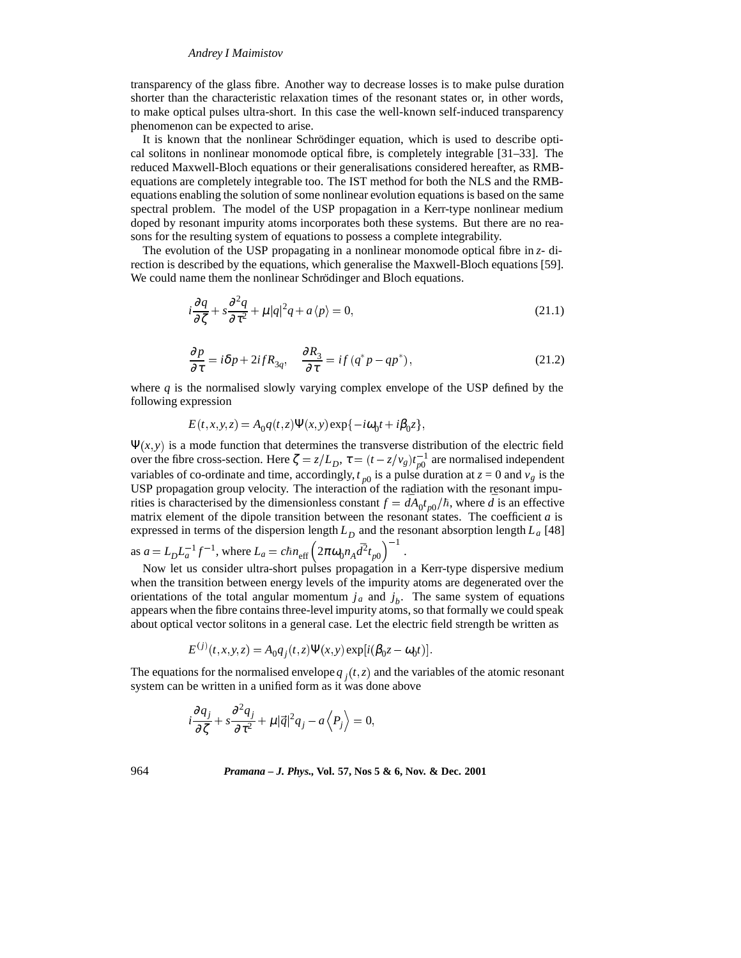transparency of the glass fibre. Another way to decrease losses is to make pulse duration shorter than the characteristic relaxation times of the resonant states or, in other words, to make optical pulses ultra-short. In this case the well-known self-induced transparency phenomenon can be expected to arise.

It is known that the nonlinear Schrödinger equation, which is used to describe optical solitons in nonlinear monomode optical fibre, is completely integrable [31–33]. The reduced Maxwell-Bloch equations or their generalisations considered hereafter, as RMBequations are completely integrable too. The IST method for both the NLS and the RMBequations enabling the solution of some nonlinear evolution equations is based on the same spectral problem. The model of the USP propagation in a Kerr-type nonlinear medium doped by resonant impurity atoms incorporates both these systems. But there are no reasons for the resulting system of equations to possess a complete integrability.

The evolution of the USP propagating in a nonlinear monomode optical fibre in *z*- direction is described by the equations, which generalise the Maxwell-Bloch equations [59]. We could name them the nonlinear Schrödinger and Bloch equations.

$$
i\frac{\partial q}{\partial \zeta} + s\frac{\partial^2 q}{\partial \tau^2} + \mu |q|^2 q + a \langle p \rangle = 0,
$$
\n(21.1)

$$
\frac{\partial p}{\partial \tau} = i\delta p + 2ifR_{3q}, \quad \frac{\partial R_3}{\partial \tau} = if(q^*p - qp^*), \tag{21.2}
$$

.

where *q* is the normalised slowly varying complex envelope of the USP defined by the following expression

$$
E(t, x, y, z) = A_0 q(t, z) \Psi(x, y) \exp{-i\omega_0 t + i\beta_0 z},
$$

 $\Psi(x, y)$  is a mode function that determines the transverse distribution of the electric field over the fibre cross-section. Here  $\zeta = z/L_D$ ,  $\tau = (t - z/v_g)t_{p0}^{-1}$  are normalised independent variables of co-ordinate and time, accordingly,  $t_{p0}$  is a pulse duration at  $z = 0$  and  $v_g$  is the USP propagation group velocity. The interaction of the radiation with the resonant impurities is characterised by the dimensionless constant  $f = dA_0 t_{p0}/\hbar$ , where  $\bar{d}$  is an effective matrix element of the dipole transition between the resonant states. The coefficient *a* is expressed in terms of the dispersion length  $L_D$  and the resonant absorption length  $L_a$  [48]

as 
$$
a = L_D L_a^{-1} f^{-1}
$$
, where  $L_a = c \hbar n_{eff} (2 \pi \omega_0 n_A d^2 t_{p0})^{-1}$ 

Now let us consider ultra-short pulses propagation in a Kerr-type dispersive medium when the transition between energy levels of the impurity atoms are degenerated over the orientations of the total angular momentum  $j_a$  and  $j_b$ . The same system of equations appears when the fibre contains three-level impurity atoms, so that formally we could speak about optical vector solitons in a general case. Let the electric field strength be written as

$$
E^{(j)}(t, x, y, z) = A_0 q_j(t, z) \Psi(x, y) \exp[i(\beta_0 z - \omega_0 t)].
$$

The equations for the normalised envelope  $q_i(t, z)$  and the variables of the atomic resonant system can be written in a unified form as it was done above

$$
i\frac{\partial q_j}{\partial \zeta} + s\frac{\partial^2 q_j}{\partial \tau^2} + \mu |\vec{q}|^2 q_j - a \langle P_j \rangle = 0,
$$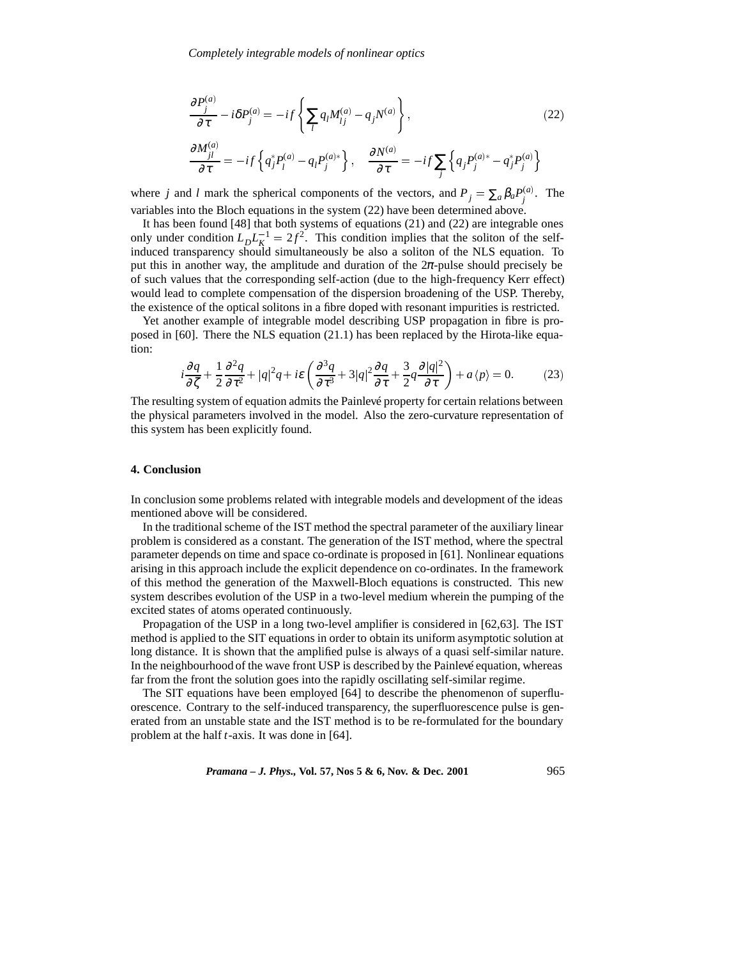$$
\frac{\partial P_j^{(a)}}{\partial \tau} - i\delta P_j^{(a)} = -if \left\{ \sum_i q_i M_{ij}^{(a)} - q_j N^{(a)} \right\},\tag{22}
$$
\n
$$
\frac{\partial M_{jl}^{(a)}}{\partial t} = -if \left\{ \sum_i q_i M_{ij}^{(a)} - q_j N^{(a)} \right\},\tag{22}
$$

$$
\frac{\partial^2 H_{jl}}{\partial \tau} = -if \left\{ q_j^* P_l^{(a)} - q_l P_j^{(a)*} \right\}, \quad \frac{\partial N^{(a)}}{\partial \tau} = -if \sum_j \left\{ q_j P_j^{(a)*} - q_j^* P_j^{(a)} \right\}
$$

where *j* and *l* mark the spherical components of the vectors, and  $P_j = \sum_a \beta_a P_j^{(a)}$ . The variables into the Bloch equations in the system (22) have been determined above.

It has been found [48] that both systems of equations (21) and (22) are integrable ones only under condition  $L_D L_K^{-1} = 2f^2$ . This condition implies that the soliton of the selfinduced transparency should simultaneously be also a soliton of the NLS equation. To put this in another way, the amplitude and duration of the  $2\pi$ -pulse should precisely be of such values that the corresponding self-action (due to the high-frequency Kerr effect) would lead to complete compensation of the dispersion broadening of the USP. Thereby, the existence of the optical solitons in a fibre doped with resonant impurities is restricted.

Yet another example of integrable model describing USP propagation in fibre is proposed in [60]. There the NLS equation (21.1) has been replaced by the Hirota-like equation:

$$
i\frac{\partial q}{\partial \zeta} + \frac{1}{2} \frac{\partial^2 q}{\partial \tau^2} + |q|^2 q + i\epsilon \left( \frac{\partial^3 q}{\partial \tau^3} + 3|q|^2 \frac{\partial q}{\partial \tau} + \frac{3}{2} q \frac{\partial |q|^2}{\partial \tau} \right) + a \langle p \rangle = 0.
$$
 (23)

The resulting system of equation admits the Painlevé property for certain relations between the physical parameters involved in the model. Also the zero-curvature representation of this system has been explicitly found.

## **4. Conclusion**

In conclusion some problems related with integrable models and development of the ideas mentioned above will be considered.

In the traditional scheme of the IST method the spectral parameter of the auxiliary linear problem is considered as a constant. The generation of the IST method, where the spectral parameter depends on time and space co-ordinate is proposed in [61]. Nonlinear equations arising in this approach include the explicit dependence on co-ordinates. In the framework of this method the generation of the Maxwell-Bloch equations is constructed. This new system describes evolution of the USP in a two-level medium wherein the pumping of the excited states of atoms operated continuously.

Propagation of the USP in a long two-level amplifier is considered in [62,63]. The IST method is applied to the SIT equations in order to obtain its uniform asymptotic solution at long distance. It is shown that the amplified pulse is always of a quasi self-similar nature. In the neighbourhood of the wave front USP is described by the Painlevé equation, whereas far from the front the solution goes into the rapidly oscillating self-similar regime.

The SIT equations have been employed [64] to describe the phenomenon of superfluorescence. Contrary to the self-induced transparency, the superfluorescence pulse is generated from an unstable state and the IST method is to be re-formulated for the boundary problem at the half *t*-axis. It was done in [64].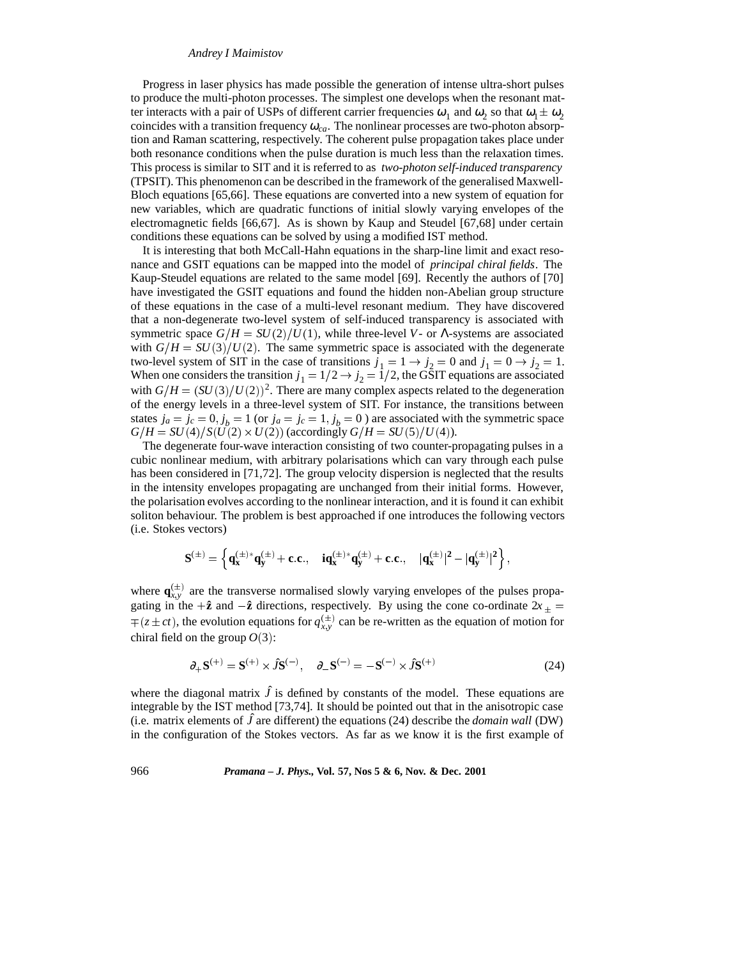Progress in laser physics has made possible the generation of intense ultra-short pulses to produce the multi-photon processes. The simplest one develops when the resonant matter interacts with a pair of USPs of different carrier frequencies  $\omega_1$  and  $\omega_2$  so that  $\omega_1 \pm \omega_2$ coincides with a transition frequency  $\omega_{ca}$ . The nonlinear processes are two-photon absorption and Raman scattering, respectively. The coherent pulse propagation takes place under both resonance conditions when the pulse duration is much less than the relaxation times. This process is similar to SIT and it is referred to as *two-photon self-induced transparency* (TPSIT). This phenomenon can be described in the framework of the generalised Maxwell-Bloch equations [65,66]. These equations are converted into a new system of equation for new variables, which are quadratic functions of initial slowly varying envelopes of the electromagnetic fields [66,67]. As is shown by Kaup and Steudel [67,68] under certain conditions these equations can be solved by using a modified IST method.

It is interesting that both McCall-Hahn equations in the sharp-line limit and exact resonance and GSIT equations can be mapped into the model of *principal chiral fields*. The Kaup-Steudel equations are related to the same model [69]. Recently the authors of [70] have investigated the GSIT equations and found the hidden non-Abelian group structure of these equations in the case of a multi-level resonant medium. They have discovered that a non-degenerate two-level system of self-induced transparency is associated with symmetric space  $G/H = SU(2)/U(1)$ , while three-level *V*- or Λ-systems are associated with  $G/H = SU(3)/U(2)$ . The same symmetric space is associated with the degenerate two-level system of SIT in the case of transitions  $j_1 = 1 \rightarrow j_2 = 0$  and  $j_1 = 0 \rightarrow j_2 = 1$ . When one considers the transition  $j_1 = 1/2 \rightarrow j_2 = 1/2$ , the GSIT equations are associated with  $G/H = (SU(3)/U(2))^2$ . There are many complex aspects related to the degeneration of the energy levels in a three-level system of SIT. For instance, the transitions between states  $j_a = j_c = 0$ ,  $j_b = 1$  (or  $j_a = j_c = 1$ ,  $j_b = 0$ ) are associated with the symmetric space  $G/H = SU(4)/S(U(2) \times U(2))$  (accordingly  $G/H = SU(5)/U(4)$ ).

The degenerate four-wave interaction consisting of two counter-propagating pulses in a cubic nonlinear medium, with arbitrary polarisations which can vary through each pulse has been considered in [71,72]. The group velocity dispersion is neglected that the results in the intensity envelopes propagating are unchanged from their initial forms. However, the polarisation evolves according to the nonlinear interaction, and it is found it can exhibit soliton behaviour. The problem is best approached if one introduces the following vectors (i.e. Stokes vectors)

$$
S^{(\pm)} = \left\{ q_{x}^{(\pm)}{*}q_{y}^{(\pm)} + c.c., \quad iq_{x}^{(\pm)}{*}q_{y}^{(\pm)} + c.c., \quad |q_{x}^{(\pm)}|^{2} - |q_{y}^{(\pm)}|^{2} \right\},
$$

where  $\mathbf{q}_{x,y}^{(\pm)}$  are the transverse normalised slowly varying envelopes of the pulses propagating in the  $+\hat{z}$  and  $-\hat{z}$  directions, respectively. By using the cone co-ordinate  $2x_{+}$  =  $\mp (z \pm ct)$ , the evolution equations for  $q_{xy}^{(\pm)}$  can be re-written as the equation of motion for chiral field on the group  $O(3)$ :

$$
\partial_{+} \mathbf{S}^{(+)} = \mathbf{S}^{(+)} \times \hat{J} \mathbf{S}^{(-)}, \quad \partial_{-} \mathbf{S}^{(-)} = -\mathbf{S}^{(-)} \times \hat{J} \mathbf{S}^{(+)} \tag{24}
$$

where the diagonal matrix  $\hat{J}$  is defined by constants of the model. These equations are integrable by the IST method [73,74]. It should be pointed out that in the anisotropic case (i.e. matrix elements of  $\hat{J}$  are different) the equations (24) describe the *domain wall* (DW) in the configuration of the Stokes vectors. As far as we know it is the first example of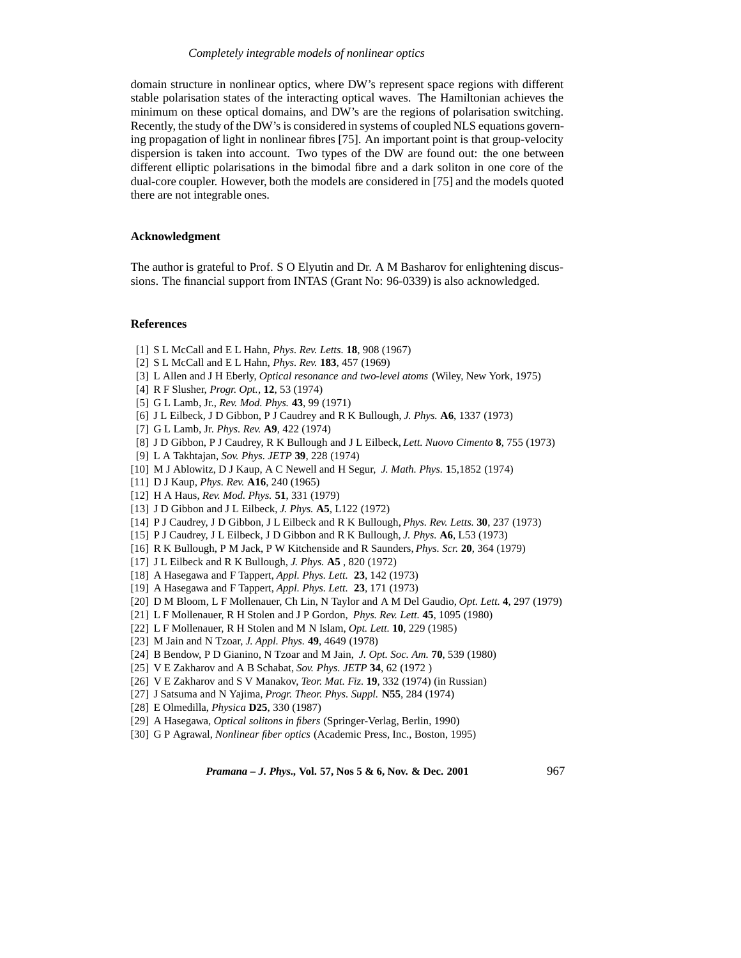domain structure in nonlinear optics, where DW's represent space regions with different stable polarisation states of the interacting optical waves. The Hamiltonian achieves the minimum on these optical domains, and DW's are the regions of polarisation switching. Recently, the study of the DW's is considered in systems of coupled NLS equations governing propagation of light in nonlinear fibres [75]. An important point is that group-velocity dispersion is taken into account. Two types of the DW are found out: the one between different elliptic polarisations in the bimodal fibre and a dark soliton in one core of the dual-core coupler. However, both the models are considered in [75] and the models quoted there are not integrable ones.

## **Acknowledgment**

The author is grateful to Prof. S O Elyutin and Dr. A M Basharov for enlightening discussions. The financial support from INTAS (Grant No: 96-0339) is also acknowledged.

## **References**

- [1] S L McCall and E L Hahn, *Phys. Rev. Letts.* **18**, 908 (1967)
- [2] S L McCall and E L Hahn, *Phys. Rev.* **183**, 457 (1969)
- [3] L Allen and J H Eberly, *Optical resonance and two-level atoms* (Wiley, New York, 1975)
- [4] R F Slusher, *Progr. Opt.*, **12**, 53 (1974)
- [5] G L Lamb, Jr., *Rev. Mod. Phys.* **43**, 99 (1971)
- [6] J L Eilbeck, J D Gibbon, P J Caudrey and R K Bullough, *J. Phys.* **A6**, 1337 (1973)
- [7] G L Lamb, Jr. *Phys. Rev.* **A9**, 422 (1974)
- [8] J D Gibbon, P J Caudrey, R K Bullough and J L Eilbeck, *Lett. Nuovo Cimento* **8**, 755 (1973)
- [9] L A Takhtajan, *Sov. Phys. JETP* **39**, 228 (1974)
- [10] M J Ablowitz, D J Kaup, A C Newell and H Segur, *J. Math. Phys.* **1**5,1852 (1974)
- [11] D J Kaup, *Phys. Rev.* **A16**, 240 (1965)
- [12] H A Haus, *Rev. Mod. Phys.* **51**, 331 (1979)
- [13] J D Gibbon and J L Eilbeck, *J. Phys.* **A5**, L122 (1972)
- [14] P J Caudrey, J D Gibbon, J L Eilbeck and R K Bullough, *Phys. Rev. Letts.* **30**, 237 (1973)
- [15] P J Caudrey, J L Eilbeck, J D Gibbon and R K Bullough, *J. Phys.* **A6**, L53 (1973)
- [16] R K Bullough, P M Jack, P W Kitchenside and R Saunders, *Phys. Scr.* **20**, 364 (1979)
- [17] J L Eilbeck and R K Bullough, *J. Phys.* **A5** , 820 (1972)
- [18] A Hasegawa and F Tappert, *Appl. Phys. Lett.* **23**, 142 (1973)
- [19] A Hasegawa and F Tappert, *Appl. Phys. Lett.* **23**, 171 (1973)
- [20] D M Bloom, L F Mollenauer, Ch Lin, N Taylor and A M Del Gaudio, *Opt. Lett.* **4**, 297 (1979)
- [21] L F Mollenauer, R H Stolen and J P Gordon, *Phys. Rev. Lett.* **45**, 1095 (1980)
- [22] L F Mollenauer, R H Stolen and M N Islam, *Opt. Lett.* **10**, 229 (1985)
- [23] M Jain and N Tzoar, *J. Appl. Phys.* **49**, 4649 (1978)
- [24] B Bendow, P D Gianino, N Tzoar and M Jain, *J. Opt. Soc. Am.* **70**, 539 (1980)
- [25] V E Zakharov and A B Schabat, *Sov. Phys. JETP* **34**, 62 (1972 )
- [26] V E Zakharov and S V Manakov, *Teor. Mat. Fiz.* **19**, 332 (1974) (in Russian)
- [27] J Satsuma and N Yajima, *Progr. Theor. Phys. Suppl.* **N55**, 284 (1974)
- [28] E Olmedilla, *Physica* **D25**, 330 (1987)
- [29] A Hasegawa, *Optical solitons in fibers* (Springer-Verlag, Berlin, 1990)
- [30] G P Agrawal, *Nonlinear fiber optics* (Academic Press, Inc., Boston, 1995)